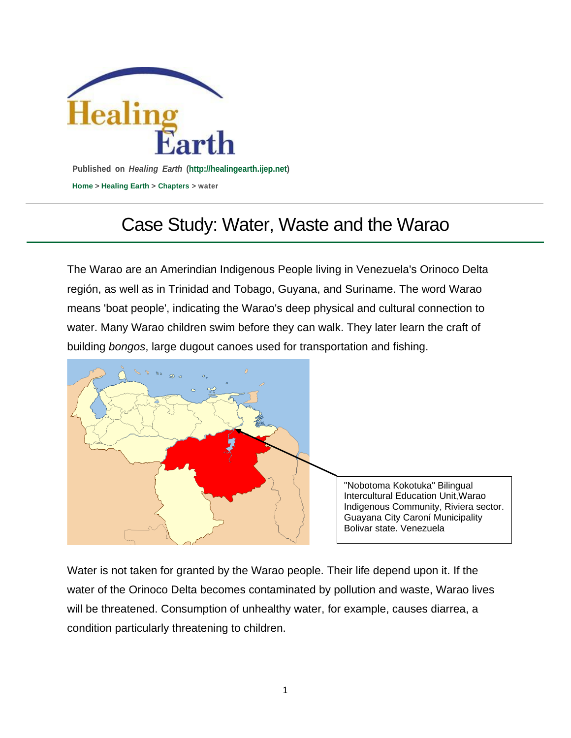

## Case Study: Water, Waste and the Warao

The Warao are an Amerindian Indigenous People living in Venezuela's Orinoco Delta región, as well as in Trinidad and Tobago, Guyana, and Suriname. The word Warao means 'boat people', indicating the Warao's deep physical and cultural connection to water. Many Warao children swim before they can walk. They later learn the craft of building *bongos*, large dugout canoes used for transportation and fishing.



"Nobotoma Kokotuka" Bilingual Intercultural Education Unit,Warao Indigenous Community, Riviera sector. Guayana City Caroní Municipality Bolivar state. Venezuela

Water is not taken for granted by the Warao people. Their life depend upon it. If the water of the Orinoco Delta becomes contaminated by pollution and waste, Warao lives will be threatened. Consumption of unhealthy water, for example, causes diarrea, a condition particularly threatening to children.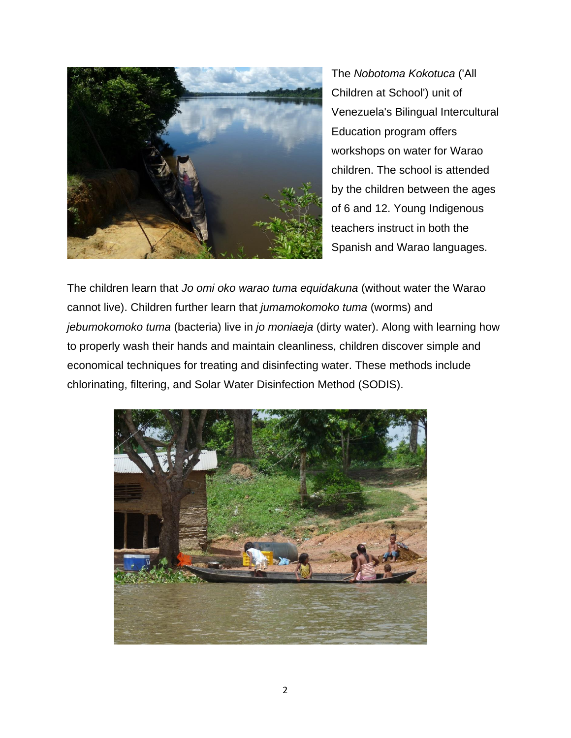

The *Nobotoma Kokotuca* ('All Children at School') unit of Venezuela's Bilingual Intercultural Education program offers workshops on water for Warao children. The school is attended by the children between the ages of 6 and 12. Young Indigenous teachers instruct in both the Spanish and Warao languages.

The children learn that *Jo omi oko warao tuma equidakuna* (without water the Warao cannot live). Children further learn that *jumamokomoko tuma* (worms) and *jebumokomoko tuma* (bacteria) live in *jo moniaeja* (dirty water). Along with learning how to properly wash their hands and maintain cleanliness, children discover simple and economical techniques for treating and disinfecting water. These methods include chlorinating, filtering, and Solar Water Disinfection Method (SODIS).